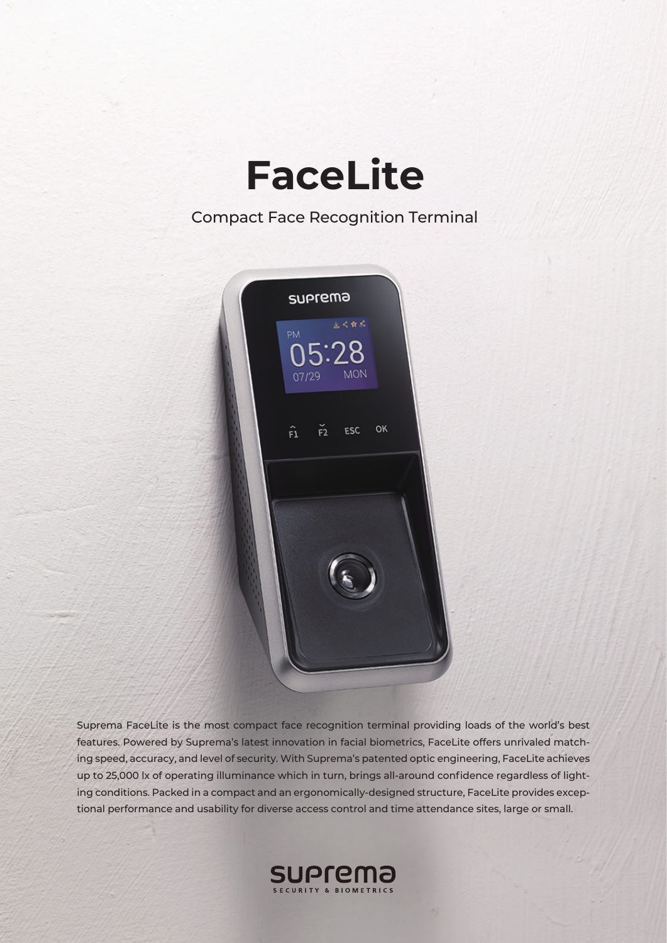

## Compact Face Recognition Terminal



Suprema FaceLite is the most compact face recognition terminal providing loads of the world's best features. Powered by Suprema's latest innovation in facial biometrics, FaceLite offers unrivaled matching speed, accuracy, and level of security. With Suprema's patented optic engineering, FaceLite achieves up to 25,000 lx of operating illuminance which in turn, brings all-around confidence regardless of lighting conditions. Packed in a compact and an ergonomically-designed structure, FaceLite provides exceptional performance and usability for diverse access control and time attendance sites, large or small.